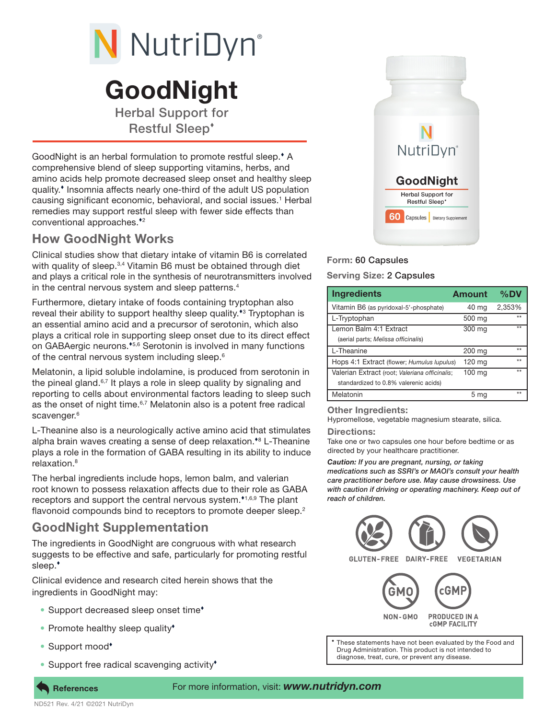

# GoodNight

Herbal Support for Restful Sleep

GoodNight is an herbal formulation to promote restful sleep.<sup>\*</sup> A comprehensive blend of sleep supporting vitamins, herbs, and amino acids help promote decreased sleep onset and healthy sleep quality.<sup>\*</sup> Insomnia affects nearly one-third of the adult US population causing significant economic, behavioral, and social issues.<sup>1</sup> Herbal remedies may support restful sleep with fewer side effects than conventional approaches.<sup>\*2</sup>

## How GoodNight Works

Clinical studies show that dietary intake of vitamin B6 is correlated with quality of sleep.<sup>3,4</sup> Vitamin B6 must be obtained through diet and plays a critical role in the synthesis of neurotransmitters involved in the central nervous system and sleep patterns.4

Furthermore, dietary intake of foods containing tryptophan also reveal their ability to support healthy sleep quality.<sup>\*3</sup> Tryptophan is an essential amino acid and a precursor of serotonin, which also plays a critical role in supporting sleep onset due to its direct effect on GABAergic neurons.<sup>45,6</sup> Serotonin is involved in many functions of the central nervous system including sleep.<sup>6</sup>

Melatonin, a lipid soluble indolamine, is produced from serotonin in the pineal gland. $6,7$  It plays a role in sleep quality by signaling and reporting to cells about environmental factors leading to sleep such as the onset of night time.<sup>6,7</sup> Melatonin also is a potent free radical scavenger.<sup>6</sup>

L-Theanine also is a neurologically active amino acid that stimulates alpha brain waves creating a sense of deep relaxation.<sup>\*8</sup> L-Theanine plays a role in the formation of GABA resulting in its ability to induce relaxation.<sup>8</sup>

The herbal ingredients include hops, lemon balm, and valerian root known to possess relaxation affects due to their role as GABA receptors and support the central nervous system. $1,6,9$  The plant flavonoid compounds bind to receptors to promote deeper sleep.<sup>2</sup>

# GoodNight Supplementation

The ingredients in GoodNight are congruous with what research suggests to be effective and safe, particularly for promoting restful sleep.

Clinical evidence and research cited herein shows that the ingredients in GoodNight may:

- Support decreased sleep onset time<sup>\*</sup>
- Promote healthy sleep quality<sup>\*</sup>
- Support mood<sup>\*</sup>
- Support free radical scavenging activity<sup>\*</sup>



## Form: 60 Capsules

Serving Size: 2 Capsules

| <b>Ingredients</b>                             | <b>Amount</b> | $\%$ DV |
|------------------------------------------------|---------------|---------|
| Vitamin B6 (as pyridoxal-5'-phosphate)         | 40 mg         | 2,353%  |
| L-Tryptophan                                   | 500 mg        | $*$     |
| Lemon Balm 4:1 Extract                         | 300 mg        | $***$   |
| (aerial parts; Melissa officinalis)            |               |         |
| L-Theanine                                     | 200 mg        | $***$   |
| Hops 4:1 Extract (flower; Humulus lupulus)     | $120$ mg      | $*$     |
| Valerian Extract (root; Valeriana officinalis; | 100 mg        | $*$     |
| standardized to 0.8% valerenic acids)          |               |         |
| Melatonin                                      | 5 mg          | $***$   |

#### Other Ingredients:

Hypromellose, vegetable magnesium stearate, silica.

#### Directions:

Take one or two capsules one hour before bedtime or as directed by your healthcare practitioner.

*Caution: If you are pregnant, nursing, or taking medications such as SSRI's or MAOI's consult your health care practitioner before use. May cause drowsiness. Use with caution if driving or operating machinery. Keep out of reach of children.*



Drug Administration. This product is not intended to diagnose, treat, cure, or prevent any disease.